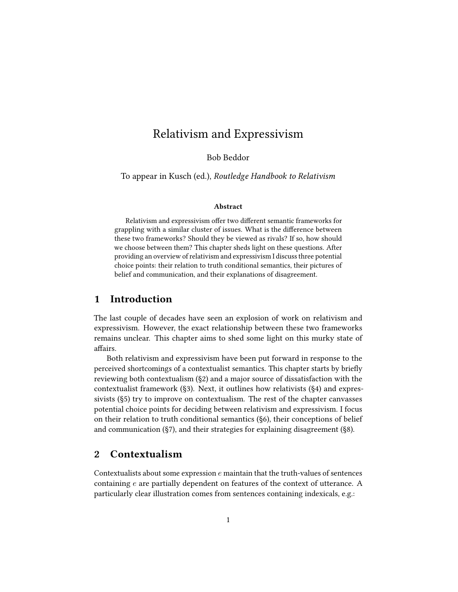# Relativism and Expressivism

Bob Beddor

To appear in Kusch (ed.), Routledge Handbook to Relativism

#### Abstract

Relativism and expressivism offer two different semantic frameworks for grappling with a similar cluster of issues. What is the difference between these two frameworks? Should they be viewed as rivals? If so, how should we choose between them? This chapter sheds light on these questions. After providing an overview of relativism and expressivism I discuss three potential choice points: their relation to truth conditional semantics, their pictures of belief and communication, and their explanations of disagreement.

#### 1 Introduction

The last couple of decades have seen an explosion of work on relativism and expressivism. However, the exact relationship between these two frameworks remains unclear. This chapter aims to shed some light on this murky state of affairs.

Both relativism and expressivism have been put forward in response to the perceived shortcomings of a contextualist semantics. This chapter starts by briefly reviewing both contextualism (§2) and a major source of dissatisfaction with the contextualist framework (§3). Next, it outlines how relativists (§4) and expressivists (§5) try to improve on contextualism. The rest of the chapter canvasses potential choice points for deciding between relativism and expressivism. I focus on their relation to truth conditional semantics (§6), their conceptions of belief and communication (§7), and their strategies for explaining disagreement (§8).

#### 2 Contextualism

Contextualists about some expression  $e$  maintain that the truth-values of sentences containing e are partially dependent on features of the context of utterance. A particularly clear illustration comes from sentences containing indexicals, e.g.: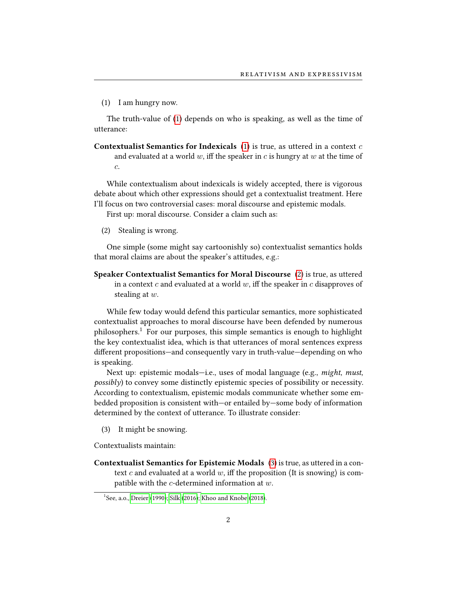<span id="page-1-0"></span>(1) I am hungry now.

The truth-value of [\(1\)](#page-1-0) depends on who is speaking, as well as the time of utterance:

**Contextualist Semantics for Indexicals** [\(1\)](#page-1-0) is true, as uttered in a context  $c$ and evaluated at a world  $w$ , iff the speaker in  $c$  is hungry at  $w$  at the time of  $c$ .

While contextualism about indexicals is widely accepted, there is vigorous debate about which other expressions should get a contextualist treatment. Here I'll focus on two controversial cases: moral discourse and epistemic modals.

First up: moral discourse. Consider a claim such as:

<span id="page-1-1"></span>(2) Stealing is wrong.

One simple (some might say cartoonishly so) contextualist semantics holds that moral claims are about the speaker's attitudes, e.g.:

Speaker Contextualist Semantics for Moral Discourse [\(2\)](#page-1-1) is true, as uttered in a context  $c$  and evaluated at a world  $w$ , iff the speaker in  $c$  disapproves of stealing at  $w$ .

While few today would defend this particular semantics, more sophisticated contextualist approaches to moral discourse have been defended by numerous philosophers.<sup>1</sup> For our purposes, this simple semantics is enough to highlight the key contextualist idea, which is that utterances of moral sentences express different propositions—and consequently vary in truth-value—depending on who is speaking.

Next up: epistemic modals—i.e., uses of modal language (e.g., *might, must,* possibly) to convey some distinctly epistemic species of possibility or necessity. According to contextualism, epistemic modals communicate whether some embedded proposition is consistent with—or entailed by—some body of information determined by the context of utterance. To illustrate consider:

<span id="page-1-2"></span>(3) It might be snowing.

Contextualists maintain:

Contextualist Semantics for Epistemic Modals [\(3\)](#page-1-2) is true, as uttered in a context c and evaluated at a world w, iff the proposition  $\langle$ It is snowing $\rangle$  is compatible with the *c*-determined information at  $w$ .

<sup>&</sup>lt;sup>1</sup>See, a.o., [Dreier](#page-13-0) [\(1990\)](#page-13-0); [Silk](#page-14-0) [\(2016\)](#page-14-0); [Khoo and Knobe](#page-14-1) [\(2018\)](#page-14-1).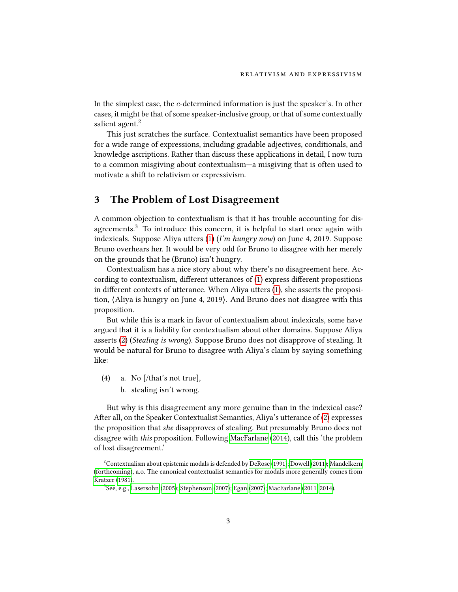In the simplest case, the c-determined information is just the speaker's. In other cases, it might be that of some speaker-inclusive group, or that of some contextually salient agent. $<sup>2</sup>$ </sup>

This just scratches the surface. Contextualist semantics have been proposed for a wide range of expressions, including gradable adjectives, conditionals, and knowledge ascriptions. Rather than discuss these applications in detail, I now turn to a common misgiving about contextualism—a misgiving that is often used to motivate a shift to relativism or expressivism.

#### 3 The Problem of Lost Disagreement

A common objection to contextualism is that it has trouble accounting for disagreements.<sup>3</sup> To introduce this concern, it is helpful to start once again with indexicals. Suppose Aliya utters  $(1)$  (I'm hungry now) on June 4, 2019. Suppose Bruno overhears her. It would be very odd for Bruno to disagree with her merely on the grounds that he (Bruno) isn't hungry.

Contextualism has a nice story about why there's no disagreement here. Ac-cording to contextualism, different utterances of [\(1\)](#page-1-0) express different propositions in different contexts of utterance. When Aliya utters [\(1\)](#page-1-0), she asserts the proposition, ⟨Aliya is hungry on June 4, 2019⟩. And Bruno does not disagree with this proposition.

But while this is a mark in favor of contextualism about indexicals, some have argued that it is a liability for contextualism about other domains. Suppose Aliya asserts [\(2\)](#page-1-1) (Stealing is wrong). Suppose Bruno does not disapprove of stealing. It would be natural for Bruno to disagree with Aliya's claim by saying something like:

- <span id="page-2-0"></span>(4) a. No [/that's not true],
	- b. stealing isn't wrong.

But why is this disagreement any more genuine than in the indexical case? After all, on the Speaker Contextualist Semantics, Aliya's utterance of [\(2\)](#page-1-1) expresses the proposition that she disapproves of stealing. But presumably Bruno does not disagree with this proposition. Following [MacFarlane](#page-14-2) [\(2014\)](#page-14-2), call this 'the problem of lost disagreement.'

<sup>&</sup>lt;sup>2</sup> Contextualism about epistemic modals is defended by [DeRose](#page-13-1) [\(1991\)](#page-13-1); [Dowell](#page-13-2) [\(2011\)](#page-13-2); [Mandelkern](#page-14-3) [\(forthcoming\)](#page-14-3), a.o. The canonical contextualist semantics for modals more generally comes from [Kratzer](#page-14-4) [\(1981\)](#page-14-4).

<sup>3</sup> See, e.g., [Lasersohn](#page-14-5) [\(2005\)](#page-14-5); [Stephenson](#page-14-6) [\(2007\)](#page-14-6); [Egan](#page-14-7) [\(2007\)](#page-14-7); [MacFarlane](#page-14-8) [\(2011,](#page-14-8) [2014\)](#page-14-2).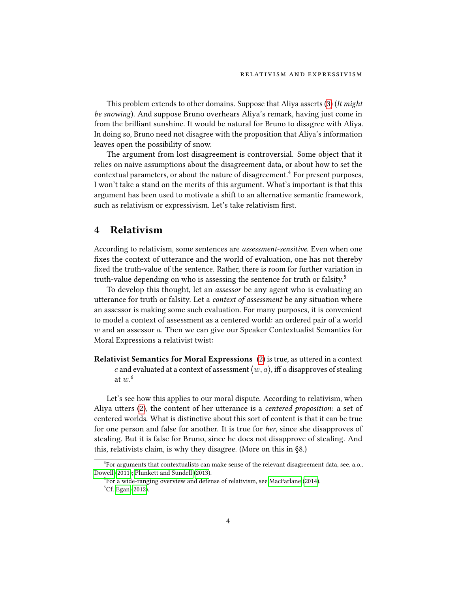This problem extends to other domains. Suppose that Aliya asserts [\(3\)](#page-1-2) (It might be snowing). And suppose Bruno overhears Aliya's remark, having just come in from the brilliant sunshine. It would be natural for Bruno to disagree with Aliya. In doing so, Bruno need not disagree with the proposition that Aliya's information leaves open the possibility of snow.

The argument from lost disagreement is controversial. Some object that it relies on naive assumptions about the disagreement data, or about how to set the  $\frac{1}{2}$  contextual parameters, or about the nature of disagreement.<sup>4</sup> For present purposes, I won't take a stand on the merits of this argument. What's important is that this argument has been used to motivate a shift to an alternative semantic framework, such as relativism or expressivism. Let's take relativism first.

#### 4 Relativism

According to relativism, some sentences are assessment-sensitive. Even when one fixes the context of utterance and the world of evaluation, one has not thereby fixed the truth-value of the sentence. Rather, there is room for further variation in truth-value depending on who is assessing the sentence for truth or falsity.<sup>5</sup>

To develop this thought, let an assessor be any agent who is evaluating an utterance for truth or falsity. Let a context of assessment be any situation where an assessor is making some such evaluation. For many purposes, it is convenient to model a context of assessment as a centered world: an ordered pair of a world  $w$  and an assessor  $a$ . Then we can give our Speaker Contextualist Semantics for Moral Expressions a relativist twist:

Relativist Semantics for Moral Expressions [\(2\)](#page-1-1) is true, as uttered in a context c and evaluated at a context of assessment  $\langle w, a \rangle$ , iff a disapproves of stealing at  $w^6$ 

Let's see how this applies to our moral dispute. According to relativism, when Aliya utters [\(2\)](#page-1-1), the content of her utterance is a centered proposition: a set of centered worlds. What is distinctive about this sort of content is that it can be true for one person and false for another. It is true for her, since she disapproves of stealing. But it is false for Bruno, since he does not disapprove of stealing. And this, relativists claim, is why they disagree. (More on this in §8.)

 $4$ For arguments that contextualists can make sense of the relevant disagreement data, see, a.o., [Dowell](#page-13-2) [\(2011\)](#page-13-2); [Plunkett and Sundell](#page-14-9) [\(2013\)](#page-14-9).

 ${}^{5}$ For a wide-ranging overview and defense of relativism, see [MacFarlane](#page-14-2) [\(2014\)](#page-14-2). <sup>6</sup>Cf. [Egan](#page-14-10) [\(2012\)](#page-14-10).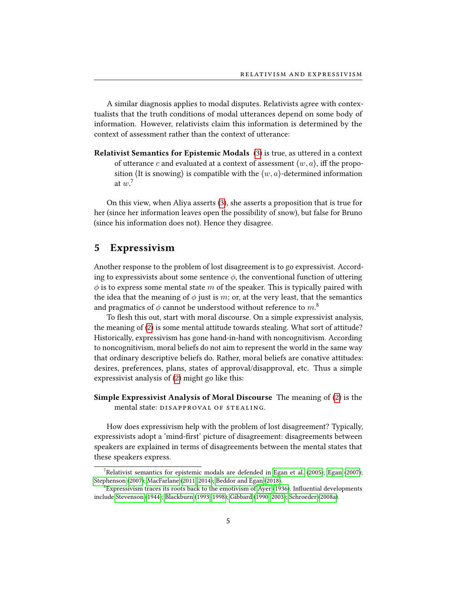A similar diagnosis applies to modal disputes. Relativists agree with contextualists that the truth conditions of modal utterances depend on some body of information. However, relativists claim this information is determined by the context of assessment rather than the context of utterance:

Relativist Semantics for Epistemic Modals [\(3\)](#page-1-2) is true, as uttered in a context of utterance c and evaluated at a context of assessment  $(w, a)$ , iff the proposition  $\langle$ It is snowing $\rangle$  is compatible with the  $\langle w, a \rangle$ -determined information at  $w^2$ 

On this view, when Aliya asserts [\(3\)](#page-1-2), she asserts a proposition that is true for her (since her information leaves open the possibility of snow), but false for Bruno (since his information does not). Hence they disagree.

#### 5 Expressivism

Another response to the problem of lost disagreement is to go expressivist. According to expressivists about some sentence  $\phi$ , the conventional function of uttering  $\phi$  is to express some mental state m of the speaker. This is typically paired with the idea that the meaning of  $\phi$  just is m; or, at the very least, that the semantics and pragmatics of  $\phi$  cannot be understood without reference to  $m^8$ 

To flesh this out, start with moral discourse. On a simple expressivist analysis, the meaning of [\(2\)](#page-1-1) is some mental attitude towards stealing. What sort of attitude? Historically, expressivism has gone hand-in-hand with noncognitivism. According to noncognitivism, moral beliefs do not aim to represent the world in the same way that ordinary descriptive beliefs do. Rather, moral beliefs are conative attitudes: desires, preferences, plans, states of approval/disapproval, etc. Thus a simple expressivist analysis of [\(2\)](#page-1-1) might go like this:

Simple Expressivist Analysis of Moral Discourse The meaning of [\(2\)](#page-1-1) is the mental state: DISAPPROVAL OF STEALING.

How does expressivism help with the problem of lost disagreement? Typically, expressivists adopt a 'mind-first' picture of disagreement: disagreements between speakers are explained in terms of disagreements between the mental states that these speakers express.

<sup>&</sup>lt;sup>7</sup>Relativist semantics for epistemic modals are defended in [Egan et al.](#page-14-11) [\(2005\)](#page-14-11): [Egan](#page-14-7) [\(2007\)](#page-14-7): [Stephenson](#page-14-6) [\(2007\)](#page-14-6); [MacFarlane](#page-14-8) [\(2011,](#page-14-8) [2014\)](#page-14-2); [Beddor and Egan](#page-13-3) [\(2018\)](#page-13-3).

 $^8$ Expressivism traces its roots back to the emotivism of [Ayer](#page-13-4) [\(1936\)](#page-13-4). Influential developments include [Stevenson](#page-14-12) [\(1944\)](#page-14-12); [Blackburn](#page-13-5) [\(1993,](#page-13-5) [1998\)](#page-13-6); [Gibbard](#page-14-13) [\(1990,](#page-14-13) [2003\)](#page-14-14); [Schroeder](#page-14-15) [\(2008a\)](#page-14-15).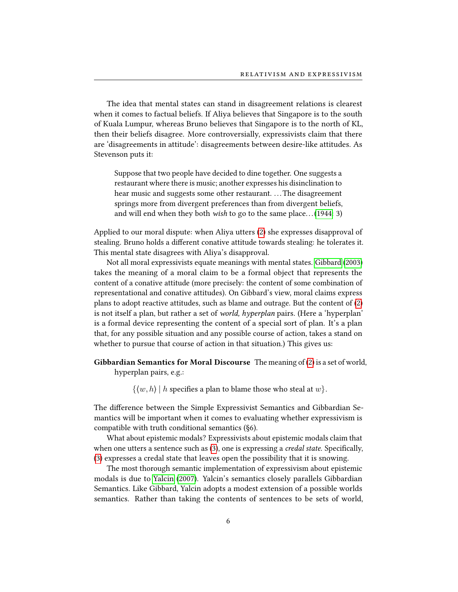The idea that mental states can stand in disagreement relations is clearest when it comes to factual beliefs. If Aliya believes that Singapore is to the south of Kuala Lumpur, whereas Bruno believes that Singapore is to the north of KL, then their beliefs disagree. More controversially, expressivists claim that there are 'disagreements in attitude': disagreements between desire-like attitudes. As Stevenson puts it:

Suppose that two people have decided to dine together. One suggests a restaurant where there is music; another expresses his disinclination to hear music and suggests some other restaurant. ... The disagreement springs more from divergent preferences than from divergent beliefs, and will end when they both wish to go to the same place...[\(1944:](#page-14-12) 3)

Applied to our moral dispute: when Aliya utters [\(2\)](#page-1-1) she expresses disapproval of stealing. Bruno holds a different conative attitude towards stealing: he tolerates it. This mental state disagrees with Aliya's disapproval.

Not all moral expressivists equate meanings with mental states. [Gibbard](#page-14-14) [\(2003\)](#page-14-14) takes the meaning of a moral claim to be a formal object that represents the content of a conative attitude (more precisely: the content of some combination of representational and conative attitudes). On Gibbard's view, moral claims express plans to adopt reactive attitudes, such as blame and outrage. But the content of [\(2\)](#page-1-1) is not itself a plan, but rather a set of world, hyperplan pairs. (Here a 'hyperplan' is a formal device representing the content of a special sort of plan. It's a plan that, for any possible situation and any possible course of action, takes a stand on whether to pursue that course of action in that situation.) This gives us:

**Gibbardian Semantics for Moral Discourse** The meaning of  $(2)$  is a set of world, hyperplan pairs, e.g.:

 $\{(w, h) \mid h$  specifies a plan to blame those who steal at  $w\}$ .

The difference between the Simple Expressivist Semantics and Gibbardian Semantics will be important when it comes to evaluating whether expressivism is compatible with truth conditional semantics (§6).

What about epistemic modals? Expressivists about epistemic modals claim that when one utters a sentence such as  $(3)$ , one is expressing a *credal state*. Specifically, [\(3\)](#page-1-2) expresses a credal state that leaves open the possibility that it is snowing.

The most thorough semantic implementation of expressivism about epistemic modals is due to [Yalcin](#page-15-0) [\(2007\)](#page-15-0). Yalcin's semantics closely parallels Gibbardian Semantics. Like Gibbard, Yalcin adopts a modest extension of a possible worlds semantics. Rather than taking the contents of sentences to be sets of world,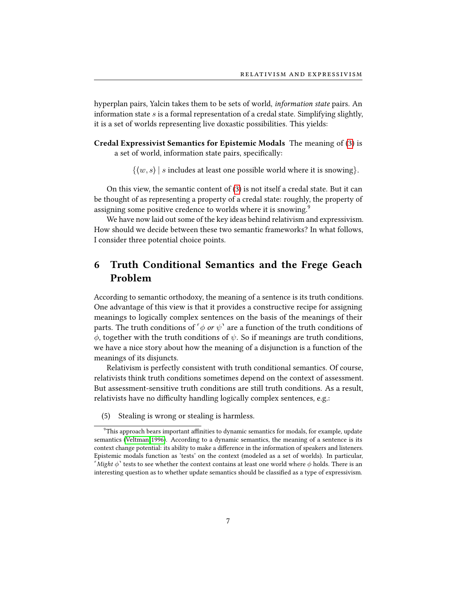hyperplan pairs, Yalcin takes them to be sets of world, information state pairs. An information state s is a formal representation of a credal state. Simplifying slightly, it is a set of worlds representing live doxastic possibilities. This yields:

Credal Expressivist Semantics for Epistemic Modals The meaning of [\(3\)](#page-1-2) is a set of world, information state pairs, specifically:

 $\{(w, s) \mid s \text{ includes at least one possible world where it is snowing}\}.$ 

On this view, the semantic content of [\(3\)](#page-1-2) is not itself a credal state. But it can be thought of as representing a property of a credal state: roughly, the property of assigning some positive credence to worlds where it is snowing.<sup>9</sup>

We have now laid out some of the key ideas behind relativism and expressivism. How should we decide between these two semantic frameworks? In what follows, I consider three potential choice points.

# 6 Truth Conditional Semantics and the Frege Geach Problem

According to semantic orthodoxy, the meaning of a sentence is its truth conditions. One advantage of this view is that it provides a constructive recipe for assigning meanings to logically complex sentences on the basis of the meanings of their parts. The truth conditions of  $\phi$  or  $\psi$ <sup>1</sup> are a function of the truth conditions of  $\phi$ , together with the truth conditions of  $\psi$ . So if meanings are truth conditions, we have a nice story about how the meaning of a disjunction is a function of the meanings of its disjuncts.

Relativism is perfectly consistent with truth conditional semantics. Of course, relativists think truth conditions sometimes depend on the context of assessment. But assessment-sensitive truth conditions are still truth conditions. As a result, relativists have no difficulty handling logically complex sentences, e.g.:

<span id="page-6-0"></span>(5) Stealing is wrong or stealing is harmless.

 $9$ This approach bears important affinities to dynamic semantics for modals, for example, update semantics [\(Veltman 1996\)](#page-14-16). According to a dynamic semantics, the meaning of a sentence is its context change potential: its ability to make a difference in the information of speakers and listeners. Epistemic modals function as 'tests' on the context (modeled as a set of worlds). In particular,  $\lceil$ Might  $\phi$ <sup>+</sup> tests to see whether the context contains at least one world where  $\phi$  holds. There is an interesting question as to whether update semantics should be classified as a type of expressivism.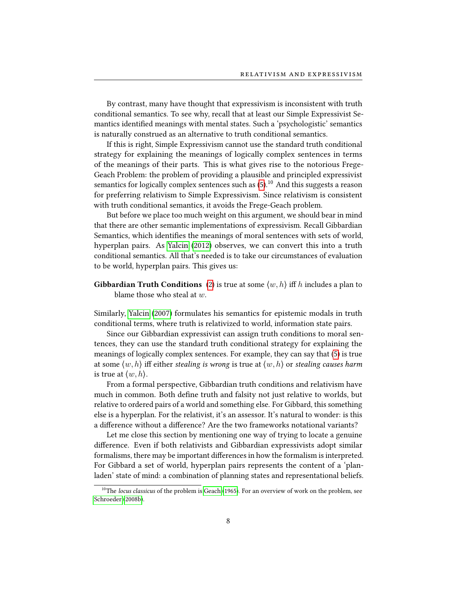By contrast, many have thought that expressivism is inconsistent with truth conditional semantics. To see why, recall that at least our Simple Expressivist Semantics identified meanings with mental states. Such a 'psychologistic' semantics is naturally construed as an alternative to truth conditional semantics.

If this is right, Simple Expressivism cannot use the standard truth conditional strategy for explaining the meanings of logically complex sentences in terms of the meanings of their parts. This is what gives rise to the notorious Frege-Geach Problem: the problem of providing a plausible and principled expressivist semantics for logically complex sentences such as  $(5)$ .<sup>10</sup> And this suggests a reason for preferring relativism to Simple Expressivism. Since relativism is consistent with truth conditional semantics, it avoids the Frege-Geach problem.

But before we place too much weight on this argument, we should bear in mind that there are other semantic implementations of expressivism. Recall Gibbardian Semantics, which identifies the meanings of moral sentences with sets of world, hyperplan pairs. As [Yalcin](#page-15-1) [\(2012\)](#page-15-1) observes, we can convert this into a truth conditional semantics. All that's needed is to take our circumstances of evaluation to be world, hyperplan pairs. This gives us:

**Gibbardian Truth Conditions** [\(2\)](#page-1-1) is true at some  $\langle w, h \rangle$  iff h includes a plan to blame those who steal at  $w$ .

Similarly, [Yalcin](#page-15-0) [\(2007\)](#page-15-0) formulates his semantics for epistemic modals in truth conditional terms, where truth is relativized to world, information state pairs.

Since our Gibbardian expressivist can assign truth conditions to moral sentences, they can use the standard truth conditional strategy for explaining the meanings of logically complex sentences. For example, they can say that [\(5\)](#page-6-0) is true at some  $\langle w, h \rangle$  iff either stealing is wrong is true at  $\langle w, h \rangle$  or stealing causes harm is true at  $\langle w, h \rangle$ .

From a formal perspective, Gibbardian truth conditions and relativism have much in common. Both define truth and falsity not just relative to worlds, but relative to ordered pairs of a world and something else. For Gibbard, this something else is a hyperplan. For the relativist, it's an assessor. It's natural to wonder: is this a difference without a difference? Are the two frameworks notational variants?

Let me close this section by mentioning one way of trying to locate a genuine difference. Even if both relativists and Gibbardian expressivists adopt similar formalisms, there may be important differences in how the formalism is interpreted. For Gibbard a set of world, hyperplan pairs represents the content of a 'planladen' state of mind: a combination of planning states and representational beliefs.

 $10$ <sup>10</sup>The *locus classicus* of the problem is [Geach](#page-14-17) [\(1965\)](#page-14-17). For an overview of work on the problem, see [Schroeder](#page-14-18) [\(2008b\)](#page-14-18).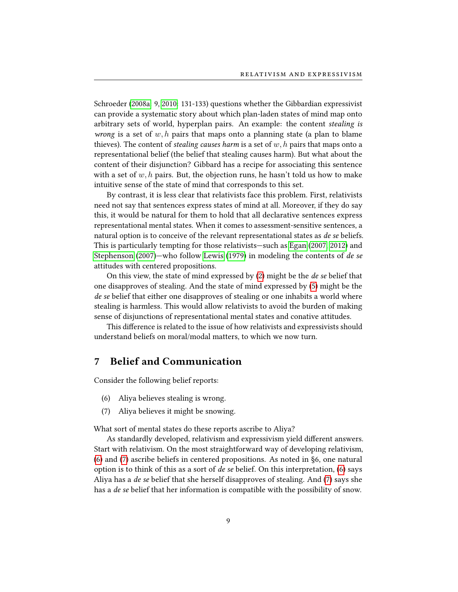Schroeder [\(2008a:](#page-14-15) 9, [2010:](#page-14-19) 131-133) questions whether the Gibbardian expressivist can provide a systematic story about which plan-laden states of mind map onto arbitrary sets of world, hyperplan pairs. An example: the content stealing is *wrong* is a set of  $w, h$  pairs that maps onto a planning state (a plan to blame thieves). The content of *stealing causes harm* is a set of  $w, h$  pairs that maps onto a representational belief (the belief that stealing causes harm). But what about the content of their disjunction? Gibbard has a recipe for associating this sentence with a set of  $w, h$  pairs. But, the objection runs, he hasn't told us how to make intuitive sense of the state of mind that corresponds to this set.

By contrast, it is less clear that relativists face this problem. First, relativists need not say that sentences express states of mind at all. Moreover, if they do say this, it would be natural for them to hold that all declarative sentences express representational mental states. When it comes to assessment-sensitive sentences, a natural option is to conceive of the relevant representational states as de se beliefs. This is particularly tempting for those relativists—such as [Egan](#page-14-7) [\(2007,](#page-14-7) [2012\)](#page-14-10) and [Stephenson](#page-14-6) [\(2007\)](#page-14-6)—who follow [Lewis](#page-14-20) [\(1979\)](#page-14-20) in modeling the contents of de se attitudes with centered propositions.

On this view, the state of mind expressed by [\(2\)](#page-1-1) might be the de se belief that one disapproves of stealing. And the state of mind expressed by [\(5\)](#page-6-0) might be the de se belief that either one disapproves of stealing or one inhabits a world where stealing is harmless. This would allow relativists to avoid the burden of making sense of disjunctions of representational mental states and conative attitudes.

This difference is related to the issue of how relativists and expressivists should understand beliefs on moral/modal matters, to which we now turn.

## 7 Belief and Communication

Consider the following belief reports:

- <span id="page-8-0"></span>(6) Aliya believes stealing is wrong.
- <span id="page-8-1"></span>(7) Aliya believes it might be snowing.

What sort of mental states do these reports ascribe to Aliya?

As standardly developed, relativism and expressivism yield different answers. Start with relativism. On the most straightforward way of developing relativism, [\(6\)](#page-8-0) and [\(7\)](#page-8-1) ascribe beliefs in centered propositions. As noted in §6, one natural option is to think of this as a sort of de se belief. On this interpretation,  $(6)$  says Aliya has a de se belief that she herself disapproves of stealing. And [\(7\)](#page-8-1) says she has a de se belief that her information is compatible with the possibility of snow.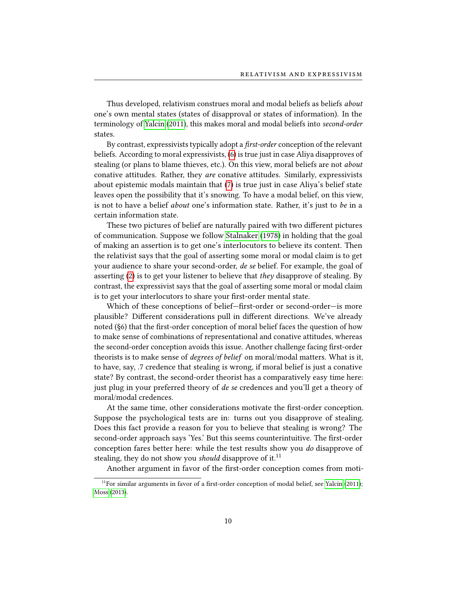Thus developed, relativism construes moral and modal beliefs as beliefs about one's own mental states (states of disapproval or states of information). In the terminology of [Yalcin](#page-15-2) [\(2011\)](#page-15-2), this makes moral and modal beliefs into second-order states.

By contrast, expressivists typically adopt a *first-order* conception of the relevant beliefs. According to moral expressivists, [\(6\)](#page-8-0) is true just in case Aliya disapproves of stealing (or plans to blame thieves, etc.). On this view, moral beliefs are not about conative attitudes. Rather, they are conative attitudes. Similarly, expressivists about epistemic modals maintain that [\(7\)](#page-8-1) is true just in case Aliya's belief state leaves open the possibility that it's snowing. To have a modal belief, on this view, is not to have a belief about one's information state. Rather, it's just to be in a certain information state.

These two pictures of belief are naturally paired with two different pictures of communication. Suppose we follow [Stalnaker](#page-14-21) [\(1978\)](#page-14-21) in holding that the goal of making an assertion is to get one's interlocutors to believe its content. Then the relativist says that the goal of asserting some moral or modal claim is to get your audience to share your second-order, de se belief. For example, the goal of asserting  $(2)$  is to get your listener to believe that they disapprove of stealing. By contrast, the expressivist says that the goal of asserting some moral or modal claim is to get your interlocutors to share your first-order mental state.

Which of these conceptions of belief-first-order or second-order-is more plausible? Different considerations pull in different directions. We've already noted  $(S6)$  that the first-order conception of moral belief faces the question of how to make sense of combinations of representational and conative attitudes, whereas the second-order conception avoids this issue. Another challenge facing first-order theorists is to make sense of degrees of belief on moral/modal matters. What is it, to have, say, .7 credence that stealing is wrong, if moral belief is just a conative state? By contrast, the second-order theorist has a comparatively easy time here: just plug in your preferred theory of de se credences and you'll get a theory of moral/modal credences.

At the same time, other considerations motivate the first-order conception. Suppose the psychological tests are in: turns out you disapprove of stealing. Does this fact provide a reason for you to believe that stealing is wrong? The second-order approach says 'Yes.' But this seems counterintuitive. The first-order conception fares better here: while the test results show you do disapprove of stealing, they do not show you should disapprove of it.<sup>11</sup>

Another argument in favor of the first-order conception comes from moti-

 $11$ For similar arguments in favor of a first-order conception of modal belief, see [Yalcin](#page-15-2) [\(2011\)](#page-15-2); [Moss](#page-14-22) [\(2013\)](#page-14-22).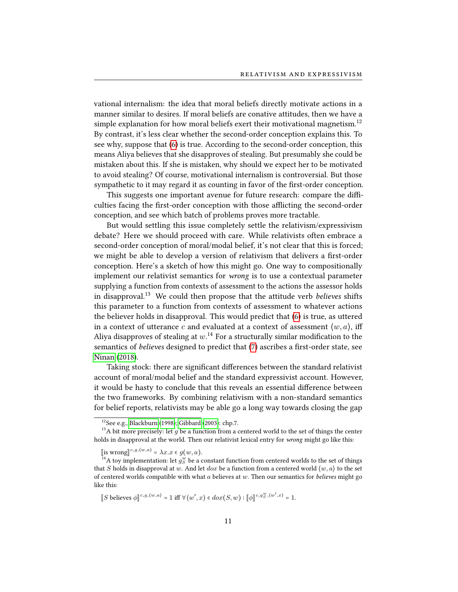vational internalism: the idea that moral beliefs directly motivate actions in a manner similar to desires. If moral beliefs are conative attitudes, then we have a simple explanation for how moral beliefs exert their motivational magnetism.<sup>12</sup> By contrast, it's less clear whether the second-order conception explains this. To see why, suppose that [\(6\)](#page-8-0) is true. According to the second-order conception, this means Aliya believes that she disapproves of stealing. But presumably she could be mistaken about this. If she is mistaken, why should we expect her to be motivated to avoid stealing? Of course, motivational internalism is controversial. But those sympathetic to it may regard it as counting in favor of the first-order conception.

This suggests one important avenue for future research: compare the difficulties facing the first-order conception with those afflicting the second-order conception, and see which batch of problems proves more tractable.

But would settling this issue completely settle the relativism/expressivism debate? Here we should proceed with care. While relativists often embrace a second-order conception of moral/modal belief, it's not clear that this is forced; we might be able to develop a version of relativism that delivers a first-order conception. Here's a sketch of how this might go. One way to compositionally implement our relativist semantics for wrong is to use a contextual parameter supplying a function from contexts of assessment to the actions the assessor holds in disapproval.<sup>13</sup> We could then propose that the attitude verb *believes* shifts this parameter to a function from contexts of assessment to whatever actions the believer holds in disapproval. This would predict that [\(6\)](#page-8-0) is true, as uttered in a context of utterance c and evaluated at a context of assessment  $(w, a)$ , iff Aliya disapproves of stealing at  $w$ .<sup>14</sup> For a structurally similar modification to the semantics of *believes* designed to predict that [\(7\)](#page-8-1) ascribes a first-order state, see [Ninan](#page-14-23) [\(2018\)](#page-14-23).

Taking stock: there are significant differences between the standard relativist account of moral/modal belief and the standard expressivist account. However, it would be hasty to conclude that this reveals an essential difference between the two frameworks. By combining relativism with a non-standard semantics for belief reports, relativists may be able go a long way towards closing the gap

 $\llbracket S \text{ believes } \phi \rrbracket^{c,g,(w,a)} = 1 \text{ iff } \forall \langle w',x \rangle \in dox(S,w) : \llbracket \phi \rrbracket^{c,g^w_S,(w',x)} = 1.$ 

 $^{12}$ See e.g., [Blackburn](#page-13-6) [\(1998\)](#page-13-6); [Gibbard](#page-14-14) [\(2003\)](#page-14-14): chp.7.

<sup>&</sup>lt;sup>13</sup>A bit more precisely: let g be a function from a centered world to the set of things the center holds in disapproval at the world. Then our relativist lexical entry for wrong might go like this:

<sup>[</sup>is wrong]<sup>c,g, $\langle w, a \rangle = \lambda x.x \in g(w, a)$ .</sup><br><sup>14</sup> A toy implementation: let  $a^w$  be a qu

<sup>&</sup>lt;sup>14</sup>A toy implementation: let  $g_S^w$  be a constant function from centered worlds to the set of things that S holds in disapproval at w. And let  $dox$  be a function from a centered world  $\langle w, a \rangle$  to the set of centered worlds compatible with what  $a$  believes at  $w$ . Then our semantics for *believes* might go like this: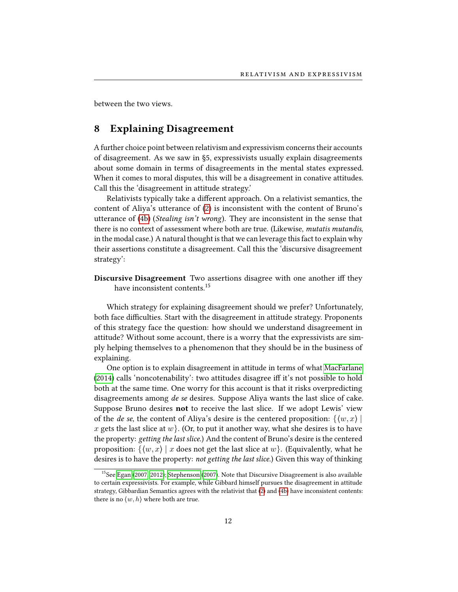between the two views.

### 8 Explaining Disagreement

A further choice point between relativism and expressivism concerns their accounts of disagreement. As we saw in §5, expressivists usually explain disagreements about some domain in terms of disagreements in the mental states expressed. When it comes to moral disputes, this will be a disagreement in conative attitudes. Call this the 'disagreement in attitude strategy.'

Relativists typically take a different approach. On a relativist semantics, the content of Aliya's utterance of [\(2\)](#page-1-1) is inconsistent with the content of Bruno's utterance of [\(4b\)](#page-2-0) (*Stealing isn't wrong*). They are inconsistent in the sense that there is no context of assessment where both are true. (Likewise, mutatis mutandis, in the modal case.) A natural thought is that we can leverage this fact to explain why their assertions constitute a disagreement. Call this the 'discursive disagreement strategy':

**Discursive Disagreement** Two assertions disagree with one another iff they have inconsistent contents.<sup>15</sup>

Which strategy for explaining disagreement should we prefer? Unfortunately, both face difficulties. Start with the disagreement in attitude strategy. Proponents of this strategy face the question: how should we understand disagreement in attitude? Without some account, there is a worry that the expressivists are simply helping themselves to a phenomenon that they should be in the business of explaining.

One option is to explain disagreement in attitude in terms of what [MacFarlane](#page-14-2) [\(2014\)](#page-14-2) calls 'noncotenability': two attitudes disagree iff it's not possible to hold both at the same time. One worry for this account is that it risks overpredicting disagreements among de se desires. Suppose Aliya wants the last slice of cake. Suppose Bruno desires not to receive the last slice. If we adopt Lewis' view of the de se, the content of Aliya's desire is the centered proposition:  $\{w, x\}$ x gets the last slice at  $w$ . (Or, to put it another way, what she desires is to have the property: getting the last slice.) And the content of Bruno's desire is the centered proposition:  $\{\langle w, x \rangle \mid x \text{ does not get the last slice at } w \}$ . (Equivalently, what he desires is to have the property: *not getting the last slice*.) Given this way of thinking

<sup>&</sup>lt;sup>15</sup>See [Egan](#page-14-7) [\(2007,](#page-14-7) [2012\)](#page-14-10); [Stephenson](#page-14-6) [\(2007\)](#page-14-6). Note that Discursive Disagreement is also available to certain expressivists. For example, while Gibbard himself pursues the disagreement in attitude strategy, Gibbardian Semantics agrees with the relativist that [\(2\)](#page-1-1) and [\(4b\)](#page-2-0) have inconsistent contents: there is no  $\langle w, h \rangle$  where both are true.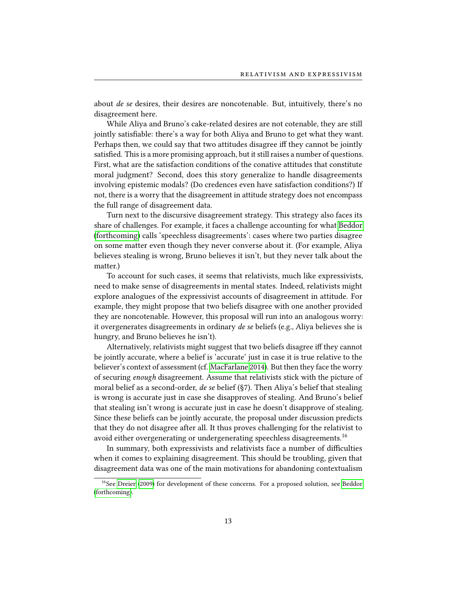about de se desires, their desires are noncotenable. But, intuitively, there's no disagreement here.

While Aliya and Bruno's cake-related desires are not cotenable, they are still jointly satisable: there's a way for both Aliya and Bruno to get what they want. Perhaps then, we could say that two attitudes disagree iff they cannot be jointly satisfied. This is a more promising approach, but it still raises a number of questions. First, what are the satisfaction conditions of the conative attitudes that constitute moral judgment? Second, does this story generalize to handle disagreements involving epistemic modals? (Do credences even have satisfaction conditions?) If not, there is a worry that the disagreement in attitude strategy does not encompass the full range of disagreement data.

Turn next to the discursive disagreement strategy. This strategy also faces its share of challenges. For example, it faces a challenge accounting for what [Beddor](#page-13-7) [\(forthcoming\)](#page-13-7) calls 'speechless disagreements': cases where two parties disagree on some matter even though they never converse about it. (For example, Aliya believes stealing is wrong, Bruno believes it isn't, but they never talk about the matter.)

To account for such cases, it seems that relativists, much like expressivists, need to make sense of disagreements in mental states. Indeed, relativists might explore analogues of the expressivist accounts of disagreement in attitude. For example, they might propose that two beliefs disagree with one another provided they are noncotenable. However, this proposal will run into an analogous worry: it overgenerates disagreements in ordinary de se beliefs (e.g., Aliya believes she is hungry, and Bruno believes he isn't).

Alternatively, relativists might suggest that two beliefs disagree iff they cannot be jointly accurate, where a belief is 'accurate' just in case it is true relative to the believer's context of assessment (cf. [MacFarlane 2014\)](#page-14-2). But then they face the worry of securing enough disagreement. Assume that relativists stick with the picture of moral belief as a second-order, *de se* belief  $(\S7)$ . Then Aliya's belief that stealing is wrong is accurate just in case she disapproves of stealing. And Bruno's belief that stealing isn't wrong is accurate just in case he doesn't disapprove of stealing. Since these beliefs can be jointly accurate, the proposal under discussion predicts that they do not disagree after all. It thus proves challenging for the relativist to avoid either overgenerating or undergenerating speechless disagreements.<sup>16</sup>

In summary, both expressivists and relativists face a number of difficulties when it comes to explaining disagreement. This should be troubling, given that disagreement data was one of the main motivations for abandoning contextualism

 $16$ See [Dreier](#page-14-24) [\(2009\)](#page-14-24) for development of these concerns. For a proposed solution, see [Beddor](#page-13-7) [\(forthcoming\)](#page-13-7).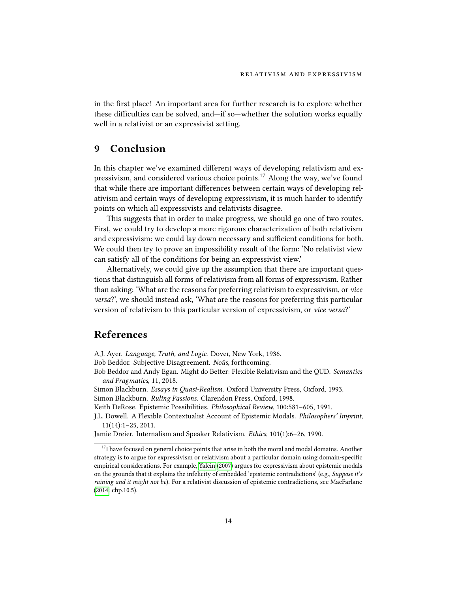in the first place! An important area for further research is to explore whether these difficulties can be solved, and—if so—whether the solution works equally well in a relativist or an expressivist setting.

# 9 Conclusion

In this chapter we've examined different ways of developing relativism and expressivism, and considered various choice points.<sup>17</sup> Along the way, we've found that while there are important differences between certain ways of developing relativism and certain ways of developing expressivism, it is much harder to identify points on which all expressivists and relativists disagree.

This suggests that in order to make progress, we should go one of two routes. First, we could try to develop a more rigorous characterization of both relativism and expressivism: we could lay down necessary and sufficient conditions for both. We could then try to prove an impossibility result of the form: 'No relativist view can satisfy all of the conditions for being an expressivist view.'

Alternatively, we could give up the assumption that there are important questions that distinguish all forms of relativism from all forms of expressivism. Rather than asking: 'What are the reasons for preferring relativism to expressivism, or vice versa?', we should instead ask, 'What are the reasons for preferring this particular version of relativism to this particular version of expressivism, or vice versa?'

### References

<span id="page-13-7"></span><span id="page-13-4"></span>A.J. Ayer. Language, Truth, and Logic. Dover, New York, 1936.

Bob Beddor. Subjective Disagreement. Noûs, forthcoming.

<span id="page-13-3"></span>Bob Beddor and Andy Egan. Might do Better: Flexible Relativism and the QUD. Semantics and Pragmatics, 11, 2018.

<span id="page-13-6"></span><span id="page-13-5"></span>Simon Blackburn. Essays in Quasi-Realism. Oxford University Press, Oxford, 1993. Simon Blackburn. Ruling Passions. Clarendon Press, Oxford, 1998.

<span id="page-13-1"></span>Keith DeRose. Epistemic Possibilities. Philosophical Review, 100:581–605, 1991.

<span id="page-13-2"></span>J.L. Dowell. A Flexible Contextualist Account of Epistemic Modals. Philosophers' Imprint, 11(14):1–25, 2011.

<span id="page-13-0"></span>Jamie Dreier. Internalism and Speaker Relativism. Ethics, 101(1):6–26, 1990.

 $17$ I have focused on general choice points that arise in both the moral and modal domains. Another strategy is to argue for expressivism or relativism about a particular domain using domain-specific empirical considerations. For example, [Yalcin](#page-15-0) [\(2007\)](#page-15-0) argues for expressivism about epistemic modals on the grounds that it explains the infelicity of embedded 'epistemic contradictions' (e.g., Suppose it's raining and it might not be). For a relativist discussion of epistemic contradictions, see MacFarlane [\(2014:](#page-14-2) chp.10.5).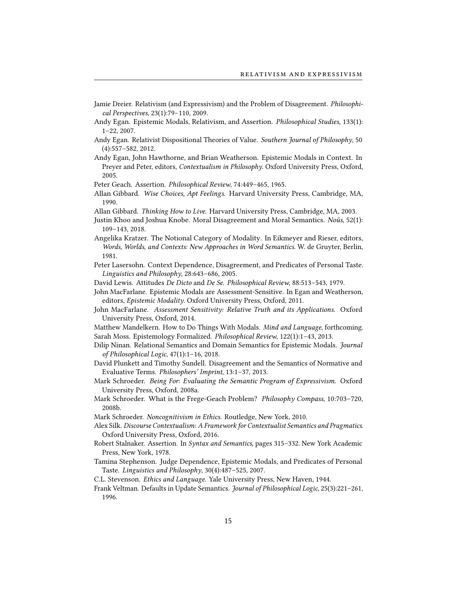- <span id="page-14-24"></span>Jamie Dreier. Relativism (and Expressivism) and the Problem of Disagreement. Philosophical Perspectives, 23(1):79–110, 2009.
- <span id="page-14-7"></span>Andy Egan. Epistemic Modals, Relativism, and Assertion. Philosophical Studies, 133(1): 1–22, 2007.
- <span id="page-14-10"></span>Andy Egan. Relativist Dispositional Theories of Value. Southern Journal of Philosophy, 50 (4):557–582, 2012.
- <span id="page-14-11"></span>Andy Egan, John Hawthorne, and Brian Weatherson. Epistemic Modals in Context. In Preyer and Peter, editors, Contextualism in Philosophy. Oxford University Press, Oxford, 2005.
- <span id="page-14-17"></span>Peter Geach. Assertion. Philosophical Review, 74:449–465, 1965.
- <span id="page-14-13"></span>Allan Gibbard. Wise Choices, Apt Feelings. Harvard University Press, Cambridge, MA, 1990.
- <span id="page-14-14"></span>Allan Gibbard. Thinking How to Live. Harvard University Press, Cambridge, MA, 2003.
- <span id="page-14-1"></span>Justin Khoo and Joshua Knobe. Moral Disagreement and Moral Semantics. Noûs, 52(1): 109–143, 2018.
- <span id="page-14-4"></span>Angelika Kratzer. The Notional Category of Modality. In Eikmeyer and Rieser, editors, Words, Worlds, and Contexts: New Approaches in Word Semantics. W. de Gruyter, Berlin, 1981.
- <span id="page-14-5"></span>Peter Lasersohn. Context Dependence, Disagreement, and Predicates of Personal Taste. Linguistics and Philosophy, 28:643–686, 2005.
- <span id="page-14-20"></span>David Lewis. Attitudes De Dicto and De Se. Philosophical Review, 88:513–543, 1979.
- <span id="page-14-8"></span>John MacFarlane. Epistemic Modals are Assessment-Sensitive. In Egan and Weatherson, editors, Epistemic Modality. Oxford University Press, Oxford, 2011.
- <span id="page-14-2"></span>John MacFarlane. Assessment Sensitivity: Relative Truth and its Applications. Oxford University Press, Oxford, 2014.

<span id="page-14-22"></span><span id="page-14-3"></span>Matthew Mandelkern. How to Do Things With Modals. Mind and Language, forthcoming. Sarah Moss. Epistemology Formalized. Philosophical Review, 122(1):1–43, 2013.

- <span id="page-14-23"></span>Dilip Ninan. Relational Semantics and Domain Semantics for Epistemic Modals. Journal of Philosophical Logic, 47(1):1–16, 2018.
- <span id="page-14-9"></span>David Plunkett and Timothy Sundell. Disagreement and the Semantics of Normative and Evaluative Terms. Philosophers' Imprint, 13:1–37, 2013.
- <span id="page-14-15"></span>Mark Schroeder. Being For: Evaluating the Semantic Program of Expressivism. Oxford University Press, Oxford, 2008a.
- <span id="page-14-18"></span>Mark Schroeder. What is the Frege-Geach Problem? Philosophy Compass, 10:703–720, 2008b.

<span id="page-14-19"></span><span id="page-14-0"></span>Mark Schroeder. Noncognitivism in Ethics. Routledge, New York, 2010.

- Alex Silk. Discourse Contextualism: A Framework for Contextualist Semantics and Pragmatics. Oxford University Press, Oxford, 2016.
- <span id="page-14-21"></span>Robert Stalnaker. Assertion. In Syntax and Semantics, pages 315-332. New York Academic Press, New York, 1978.
- <span id="page-14-6"></span>Tamina Stephenson. Judge Dependence, Epistemic Modals, and Predicates of Personal Taste. Linguistics and Philosophy, 30(4):487–525, 2007.
- <span id="page-14-12"></span>C.L. Stevenson. Ethics and Language. Yale University Press, New Haven, 1944.
- <span id="page-14-16"></span>Frank Veltman. Defaults in Update Semantics. Journal of Philosophical Logic, 25(3):221–261, 1996.